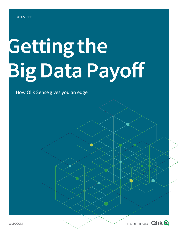# Getting the Big Data Payoff

### How Qlik Sense gives you an edge

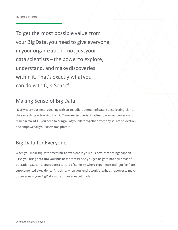To get the most possible value from your BigData,you need to give everyone in your organization – not justyour data scientists – the powerto explore, understand, and make discoveries within it. That's exactly whatyou can do with Qlik Sense®.

## Making Sense of Big Data

Nearly every business is dealing with an incredible amount of data. But collecting it is not the same thing as learning from it. To make discoveries that lead to real outcomes – and result in real ROI – you need to bring all of your data together, from any source or location, and empower all your users to explore it.

## Big Data for Everyone

When you make Big Data accessible to everyone in your business, three things happen. First, you bring data into your business processes, so you get insights into new areas of operations. Second, you create a culture of curiosity, where experience and "gut feel" are supplemented by evidence. And third, when your entire workforce has the power to make discoveries in your Big Data, more discoveries get made.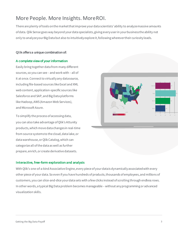## More People. More Insights. MoreROI.

There are plenty of tools on the market that improve your data scientists' ability to analyze massive amounts of data. Qlik Sense goes way beyond your data specialists, giving every user in your business the ability not only to analyze your Big Data but also to intuitively explore it, following wherever their curiosity leads.

#### Qlik offers a unique combination of:

#### A complete view of your information

Easily bring together data from many different sources, so you can see – and work with – all of it at once. Connect to virtually any datasource, including file-based sources like Excel and XML web content, application-specific sources like Salesforce and SAP, and Big Data platforms like Hadoop, AWS (Amazon Web Services), and Microsoft Azure.

To simplify the process of accessing data, you can also take advantage of Qlik's Attunity products, which move data changes in real-time from source systems to the cloud, data lake, or data warehouse, or Qlik Catalog, which can categorize all of the data as well as further prepare, enrich, or create derivative datasets.

## Central 65 East <mark>85</mark> South 62 West 46 12.26M 6.13M 0 02 04 06 08 01

#### Interactive, free-form exploration and analysis

With Qlik's one-of-a-kind Associative Engine, every piece of your data is dynamically associated with every other piece of your data. So even if you have hundreds of products, thousands of employees, and millions of customers, you can slice-and-dice your data sets with a few clicks instead of scrolling through endless rows. In other words, a typical Big Data problem becomes manageable – without any programming or advanced visualization skills.